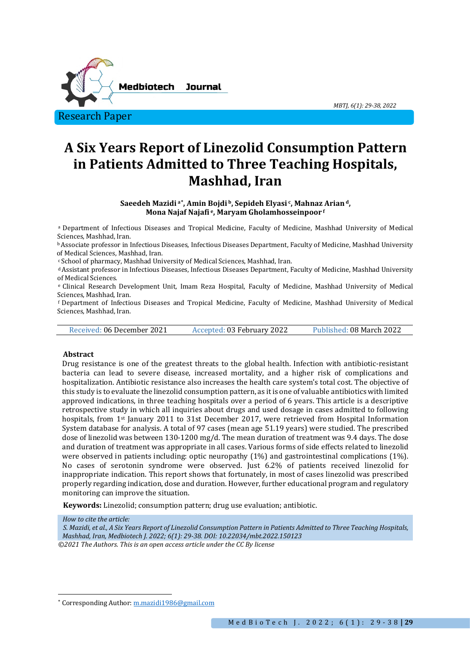

# **A Six Years Report of Linezolid Consumption Pattern in Patients Admitted to Three Teaching Hospitals, Mashhad, Iran**

*MBTJ, 6(1): 29-38, 2022* 

**Saeedeh Mazidi a[\\*](#page-0-0), Amin Bojdi b, Sepideh Elyasi c, Mahnaz Arian d, Mona Najaf Najafi e, Maryam Gholamhosseinpoor f**

a Department of Infectious Diseases and Tropical Medicine, Faculty of Medicine, Mashhad University of Medical Sciences, Mashhad, Iran.

<sup>b</sup> Associate professor in Infectious Diseases, Infectious Diseases Department, Faculty of Medicine, Mashhad University of Medical Sciences, Mashhad, Iran.

<sup>c</sup> School of pharmacy, Mashhad University of Medical Sciences, Mashhad, Iran.<br><sup>d</sup> Assistant professor in Infectious Diseases, Infectious Diseases Department, Faculty of Medicine, Mashhad University<br>of Medical Sciences.

e Clinical Research Development Unit, Imam Reza Hospital, Faculty of Medicine, Mashhad University of Medical<br>Sciences. Mashhad. Iran.

f Department of Infectious Diseases and Tropical Medicine, Faculty of Medicine, Mashhad University of Medical Sciences, Mashhad, Iran.

Received: 06 December 2021 Accepted: 03 February 2022 Published: 08 March 2022

#### **Abstract**

Drug resistance is one of the greatest threats to the global health. Infection with antibiotic-resistant bacteria can lead to severe disease, increased mortality, and a higher risk of complications and hospitalization. Antibiotic resistance also increases the health care system's total cost. The objective of this study is to evaluate the linezolid consumption pattern, as it is one of valuable antibiotics with limited approved indications, in three teaching hospitals over a period of 6 years. This article is a descriptive retrospective study in which all inquiries about drugs and used dosage in cases admitted to following hospitals, from 1<sup>st</sup> January 2011 to 31st December 2017, were retrieved from Hospital Information System database for analysis. A total of 97 cases (mean age 51.19 years) were studied. The prescribed dose of linezolid was between 130-1200 mg/d. The mean duration of treatment was 9.4 days. The dose and duration of treatment was appropriate in all cases. Various forms of side effects related to linezolid were observed in patients including: optic neuropathy (1%) and gastrointestinal complications (1%). No cases of serotonin syndrome were observed. Just 6.2% of patients received linezolid for inappropriate indication. This report shows that fortunately, in most of cases linezolid was prescribed properly regarding indication, dose and duration. However, further educational program and regulatory monitoring can improve the situation.

**Keywords:** Linezolid; consumption pattern; drug use evaluation; antibiotic.

*How to cite the article:*

*S. Mazidi, et al., A Six Years Report of Linezolid Consumption Pattern in Patients Admitted to Three Teaching Hospitals, Mashhad, Iran, Medbiotech J. 2022; 6(1): 29-38. DOI: 10.22034/mbt.2022.150123*

*<sup>©2021</sup> The Authors. This is an open access article under the CC By license*

<span id="page-0-0"></span><sup>\*</sup> Corresponding Author[: m.mazidi1986@gmail.com](mailto:m.mazidi1986@gmail.com)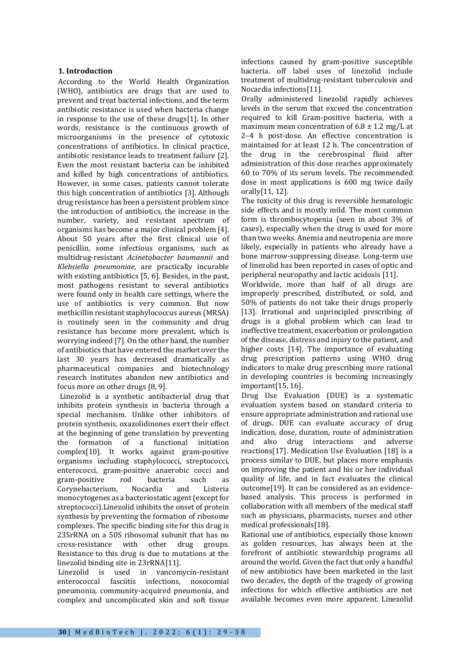# **1. Introduction**

According to the World Health Organization (WHO), antibiotics are drugs that are used to prevent and treat bacterial infections, and the term antibiotic resistance is used when bacteria change in response to the use of these drugs[1]. In other words, resistance is the continuous growth of microorganisms in the presence of cytotoxic concentrations of antibiotics. In clinical practice, antibiotic resistance leads to treatment failure [2]. Even the most resistant bacteria can be inhibited and killed by high concentrations of antibiotics. However, in some cases, patients cannot tolerate this high concentration of antibiotics [3]. Although drug resistance has been a persistent problem since the introduction of antibiotics, the increase in the number, variety, and resistant spectrum of organisms has become a major clinical problem [4]. About 50 years after the first clinical use of penicillin, some infectious organisms, such as multidrug-resistant *Acinetobacter baumannii* and *Klebsiella pneumoniae*, are practically incurable with existing antibiotics [5, 6]. Besides, in the past, most pathogens resistant to several antibiotics were found only in health care settings, where the use of antibiotics is very common. But now methicillin resistant staphylococcus aureus (MRSA) is routinely seen in the community and drug resistance has become more prevalent, which is worrying indeed [7]. On the other hand, the number of antibiotics that have entered the market over the last 30 years has decreased dramatically as pharmaceutical companies and biotechnology research institutes abandon new antibiotics and focus more on other drugs [8, 9].

Linezolid is a synthetic antibacterial drug that inhibits protein synthesis in bacteria through a special mechanism. Unlike other inhibitors of protein synthesis, oxazolidinones exert their effect at the beginning of gene translation by preventing<br>the formation of a functional initiation formation of a functional initiation complex[10]. It works against gram-positive organisms including staphylococci, streptococci, enterococci, gram-positive anaerobic cocci and<br>gram-positive rod bacteria such as gram-positive rod bacteria such as<br>Corvnebacterium, Nocardia and Listeria Corynebacterium, Nocardia and Listeria monocytogenes as a bacteriostatic agent (except for streptococci).Linezolid inhibits the onset of protein synthesis by preventing the formation of ribosome complexes. The specific binding site for this drug is 23SrRNA on a 50S ribosomal subunit that has no<br>cross-resistance with other drug groups. cross-resistance with Resistance to this drug is due to mutations at the linezolid binding site in 23rRNA[11].

Linezolid is used in vancomycin-resistant fasciitis infections, nosocomial pneumonia, community-acquired pneumonia, and complex and uncomplicated skin and soft tissue infections caused by gram-positive susceptible bacteria. off label uses of linezolid include treatment of multidrug-resistant tuberculosis and Nocardia infections[11].

Orally administered linezolid rapidly achieves levels in the serum that exceed the concentration required to kill Gram-positive bacteria, with a maximum mean concentration of  $6.8 \pm 1.2$  mg/L at 2–4 h post-dose. An effective concentration is maintained for at least 12 h. The concentration of the drug in the cerebrospinal fluid after administration of this dose reaches approximately 60 to 70% of its serum levels. The recommended dose in most applications is 600 mg twice daily orally[11, 12].

The toxicity of this drug is reversible hematologic side effects and is mostly mild. The most common form is thrombocytopenia (seen in about 3% of cases), especially when the drug is used for more than two weeks. Anemia and neutropenia are more likely, especially in patients who already have a bone marrow-suppressing disease. Long-term use of linezolid has been reported in cases of optic and peripheral neuropathy and lactic acidosis [11].

Worldwide, more than half of all drugs are improperly prescribed, distributed, or sold, and 50% of patients do not take their drugs properly [13]. Irrational and unprincipled prescribing of drugs is a global problem which can lead to ineffective treatment, exacerbation or prolongation of the disease, distress and injury to the patient, and higher costs [14]. The importance of evaluating drug prescription patterns using WHO drug indicators to make drug prescribing more rational in developing countries is becoming increasingly important[15, 16].

Drug Use Evaluation (DUE) is a systematic evaluation system based on standard criteria to ensure appropriate administration and rational use of drugs. DUE can evaluate accuracy of drug indication, dose, duration, route of administration and also drug interactions and adverse reactions[17]. Medication Use Evaluation [18] is a process similar to DUE, but places more emphasis on improving the patient and his or her individual quality of life, and in fact evaluates the clinical outcome[19]. It can be considered as an evidencebased analysis. This process is performed in collaboration with all members of the medical staff such as physicians, pharmacists, nurses and other medical professionals[18].

Rational use of antibiotics, especially those known as golden resources, has always been at the forefront of antibiotic stewardship programs all around the world. Given the fact that only a handful of new antibiotics have been marketed in the last two decades, the depth of the tragedy of growing infections for which effective antibiotics are not available becomes even more apparent. Linezolid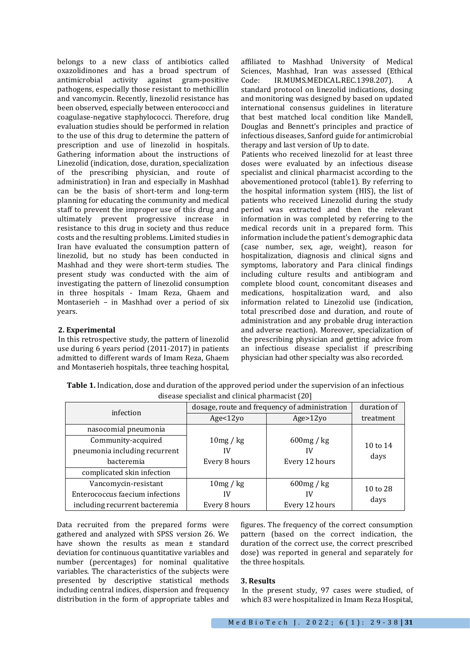belongs to a new class of antibiotics called oxazolidinones and has a broad spectrum of antimicrobial activity against gram-positive pathogens, especially those resistant to methicillin and vancomycin. Recently, linezolid resistance has been observed, especially between enterococci and coagulase-negative staphylococci. Therefore, drug evaluation studies should be performed in relation to the use of this drug to determine the pattern of prescription and use of linezolid in hospitals. Gathering information about the instructions of Linezolid (indication, dose, duration, specialization of the prescribing physician, and route of administration) in Iran and especially in Mashhad can be the basis of short-term and long-term planning for educating the community and medical staff to prevent the improper use of this drug and ultimately prevent progressive increase in resistance to this drug in society and thus reduce costs and the resulting problems. Limited studies in Iran have evaluated the consumption pattern of linezolid, but no study has been conducted in Mashhad and they were short-term studies. The present study was conducted with the aim of investigating the pattern of linezolid consumption in three hospitals - Imam Reza, Ghaem and Montaserieh – in Mashhad over a period of six years.

## **2. Experimental**

In this retrospective study, the pattern of linezolid use during 6 years period (2011-2017) in patients admitted to different wards of Imam Reza, Ghaem and Montaserieh hospitals, three teaching hospital,

affiliated to Mashhad University of Medical Sciences, Mashhad, Iran was assessed (Ethical<br>Code: IR.MUMS.MEDICAL.REC.1398.207). A IR.MUMS.MEDICAL.REC.1398.207). standard protocol on linezolid indications, dosing and monitoring was designed by based on updated international consensus guidelines in literature that best matched local condition like Mandell, Douglas and Bennett's principles and practice of infectious diseases, Sanford guide for antimicrobial therapy and last version of Up to date.

Patients who received linezolid for at least three doses were evaluated by an infectious disease specialist and clinical pharmacist according to the abovementioned protocol (table1). By referring to the hospital information system (HIS), the list of patients who received Linezolid during the study period was extracted and then the relevant information in was completed by referring to the medical records unit in a prepared form. This information include the patient's demographic data (case number, sex, age, weight), reason for hospitalization, diagnosis and clinical signs and symptoms, laboratory and Para clinical findings including culture results and antibiogram and complete blood count, concomitant diseases and medications, hospitalization ward, and also information related to Linezolid use (indication, total prescribed dose and duration, and route of administration and any probable drug interaction and adverse reaction). Moreover, specialization of the prescribing physician and getting advice from an infectious disease specialist if prescribing physician had other specialty was also recorded.

**Table 1.** Indication, dose and duration of the approved period under the supervision of an infectious disease specialist and clinical pharmacist (20]

| infection                       | dosage, route and frequency of administration |                | duration of |
|---------------------------------|-----------------------------------------------|----------------|-------------|
|                                 | Age < 12yo                                    | Age > 12yo     | treatment   |
| nasocomial pneumonia            |                                               |                |             |
| Community-acquired              | 10mg/kg                                       | 600mg / kg     | 10 to 14    |
| pneumonia including recurrent   | IV                                            |                | days        |
| bacteremia                      | Every 8 hours                                 | Every 12 hours |             |
| complicated skin infection      |                                               |                |             |
| Vancomycin-resistant            | 10mg/kg                                       | 600mg / kg     | 10 to 28    |
| Enterococcus faecium infections | IV                                            | I٧             |             |
| including recurrent bacteremia  | Every 8 hours                                 | Every 12 hours | days        |

Data recruited from the prepared forms were gathered and analyzed with SPSS version 26. We have shown the results as mean ± standard deviation for continuous quantitative variables and number (percentages) for nominal qualitative variables. The characteristics of the subjects were presented by descriptive statistical methods including central indices, dispersion and frequency distribution in the form of appropriate tables and

figures. The frequency of the correct consumption pattern (based on the correct indication, the duration of the correct use, the correct prescribed dose) was reported in general and separately for the three hospitals.

#### **3. Results**

In the present study, 97 cases were studied, of which 83 were hospitalized in Imam Reza Hospital,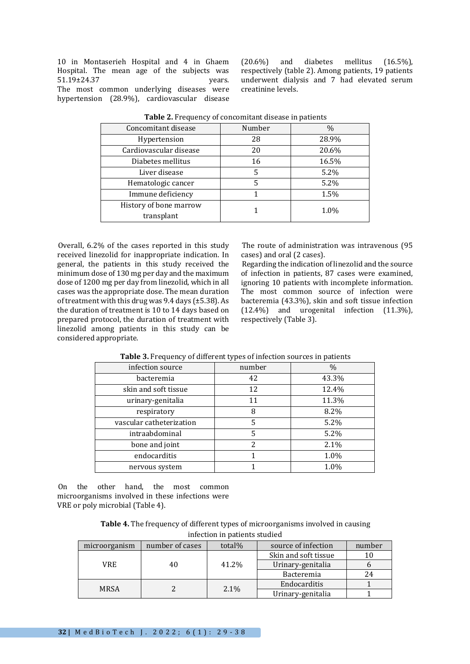10 in Montaserieh Hospital and 4 in Ghaem Hospital. The mean age of the subjects was 51.19±24.37 vears. 51.19±24.37 The most common underlying diseases were hypertension (28.9%), cardiovascular disease

 $(20.6\%)$  and diabetes mellitus  $(16.5\%)$ , respectively (table 2). Among patients, 19 patients underwent dialysis and 7 had elevated serum creatinine levels.

| Concomitant disease    | Number | $\%$  |  |
|------------------------|--------|-------|--|
| Hypertension           | 28     | 28.9% |  |
| Cardiovascular disease | 20     | 20.6% |  |
| Diabetes mellitus      | 16     | 16.5% |  |
| Liver disease          | 5      | 5.2%  |  |
| Hematologic cancer     | 5      | 5.2%  |  |
| Immune deficiency      |        | 1.5%  |  |
| History of bone marrow |        | 1.0%  |  |
| transplant             |        |       |  |

**Table 2.** Frequency of concomitant disease in patients

Overall, 6.2% of the cases reported in this study received linezolid for inappropriate indication. In general, the patients in this study received the minimum dose of 130 mg per day and the maximum dose of 1200 mg per day from linezolid, which in all cases was the appropriate dose. The mean duration of treatment with this drug was 9.4 days (±5.38). As the duration of treatment is 10 to 14 days based on prepared protocol, the duration of treatment with linezolid among patients in this study can be considered appropriate.

The route of administration was intravenous (95 cases) and oral (2 cases).

Regarding the indication of linezolid and the source of infection in patients, 87 cases were examined, ignoring 10 patients with incomplete information. The most common source of infection were bacteremia (43.3%), skin and soft tissue infection (12.4%) and urogenital infection (11.3%), respectively (Table 3).

| infection source         | number | $\%$  |
|--------------------------|--------|-------|
| bacteremia               | 42     | 43.3% |
| skin and soft tissue     | 12     | 12.4% |
| urinary-genitalia        | 11     | 11.3% |
| respiratory              | 8      | 8.2%  |
| vascular catheterization | 5      | 5.2%  |
| intraabdominal           | 5      | 5.2%  |
| bone and joint           | 2      | 2.1%  |
| endocarditis             |        | 1.0%  |
| nervous system           |        | 1.0%  |

**Table 3.** Frequency of different types of infection sources in patients

On the other hand, the most common microorganisms involved in these infections were VRE or poly microbial (Table 4).

**Table 4.** The frequency of different types of microorganisms involved in causing infection in patients studied

| number of cases | total% | source of infection  | number |
|-----------------|--------|----------------------|--------|
| 40              | 41.2%  | Skin and soft tissue |        |
|                 |        | Urinary-genitalia    |        |
|                 |        | Bacteremia           | 24     |
|                 | 2.1%   | Endocarditis         |        |
|                 |        | Urinary-genitalia    |        |
|                 |        |                      |        |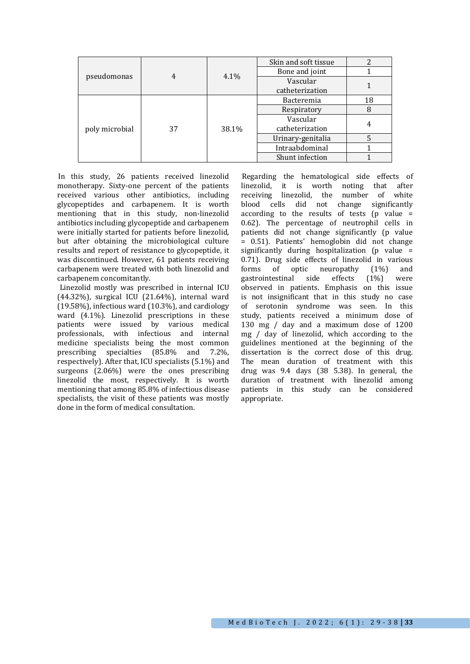| pseudomonas<br>4     |  | 4.1%              | Skin and soft tissue |    |
|----------------------|--|-------------------|----------------------|----|
|                      |  |                   | Bone and joint       |    |
|                      |  |                   | Vascular             |    |
|                      |  |                   | catheterization      |    |
| poly microbial<br>37 |  | 38.1%             | Bacteremia           | 18 |
|                      |  |                   | Respiratory          |    |
|                      |  |                   | Vascular             |    |
|                      |  |                   | catheterization      |    |
|                      |  | Urinary-genitalia |                      |    |
|                      |  | Intraabdominal    |                      |    |
|                      |  |                   | Shunt infection      |    |

In this study, 26 patients received linezolid monotherapy. Sixty-one percent of the patients received various other antibiotics, including glycopeptides and carbapenem. It is worth mentioning that in this study, non-linezolid antibiotics including glycopeptide and carbapenem were initially started for patients before linezolid, but after obtaining the microbiological culture results and report of resistance to glycopeptide, it was discontinued. However, 61 patients receiving carbapenem were treated with both linezolid and carbapenem concomitantly.

Linezolid mostly was prescribed in internal ICU (44.32%), surgical ICU (21.64%), internal ward (19.58%), infectious ward (10.3%), and cardiology ward (4.1%). Linezolid prescriptions in these<br>patients were issued by various medical patients were issued by various medical<br>professionals, with infectious and internal professionals, with infectious and medicine specialists being the most common<br>prescribing specialties (85.8% and 7.2%) prescribing specialties  $(85.8\%)$ respectively). After that, ICU specialists (5.1%) and surgeons (2.06%) were the ones prescribing linezolid the most, respectively. It is worth mentioning that among 85.8% of infectious disease specialists, the visit of these patients was mostly done in the form of medical consultation.

Regarding the hematological side effects of linezolid, it is worth noting that after receiving linezolid, the number of white blood cells did not change significantly according to the results of tests ( $p$  value = 0.62). The percentage of neutrophil cells in patients did not change significantly (p value = 0.51). Patients' hemoglobin did not change significantly during hospitalization (p value  $=$ 0.71). Drug side effects of linezolid in various<br>forms of optic neuropathy (1%) and forms of optic neuropathy (1%) and<br>gastrointestinal side effects (1%) were gastrointestinal observed in patients. Emphasis on this issue is not insignificant that in this study no case of serotonin syndrome was seen. In this study, patients received a minimum dose of 130 mg / day and a maximum dose of 1200 mg / day of linezolid, which according to the guidelines mentioned at the beginning of the dissertation is the correct dose of this drug. The mean duration of treatment with this drug was 9.4 days (38 5.38). In general, the duration of treatment with linezolid among patients in this study can be considered appropriate.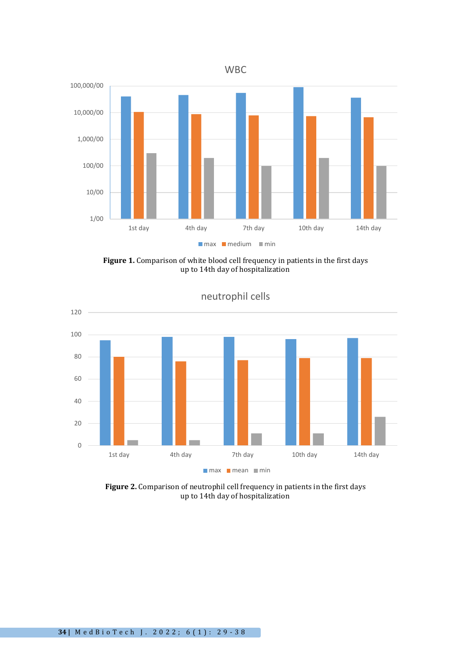

Figure 1. Comparison of white blood cell frequency in patients in the first days up to 14th day of hospitalization



neutrophil cells

**Figure 2.** Comparison of neutrophil cell frequency in patients in the first days up to 14th day of hospitalization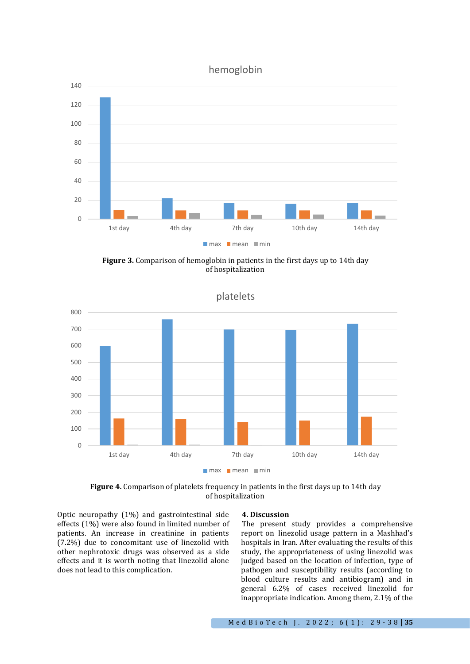# hemoglobin



**Figure 3.** Comparison of hemoglobin in patients in the first days up to 14th day of hospitalization



platelets

Figure 4. Comparison of platelets frequency in patients in the first days up to 14th day of hospitalization

Optic neuropathy (1%) and gastrointestinal side effects (1%) were also found in limited number of patients. An increase in creatinine in patients (7.2%) due to concomitant use of linezolid with other nephrotoxic drugs was observed as a side effects and it is worth noting that linezolid alone does not lead to this complication.

#### **4. Discussion**

The present study provides a comprehensive report on linezolid usage pattern in a Mashhad's hospitals in Iran. After evaluating the results of this study, the appropriateness of using linezolid was judged based on the location of infection, type of pathogen and susceptibility results (according to blood culture results and antibiogram) and in general 6.2% of cases received linezolid for inappropriate indication. Among them, 2.1% of the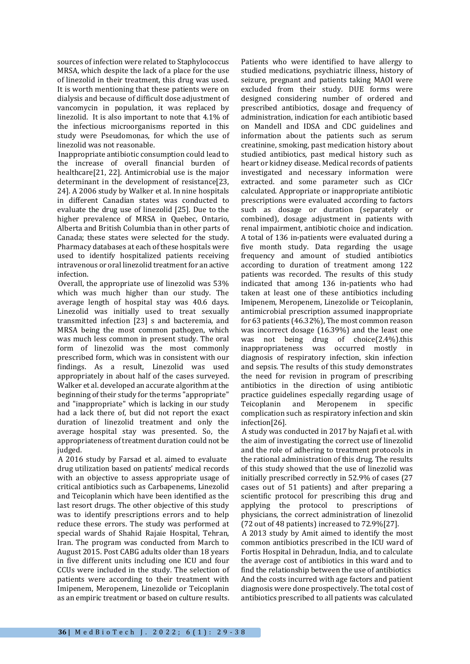sources of infection were related to Staphylococcus MRSA, which despite the lack of a place for the use of linezolid in their treatment, this drug was used. It is worth mentioning that these patients were on dialysis and because of difficult dose adjustment of vancomycin in population, it was replaced by linezolid. It is also important to note that 4.1% of the infectious microorganisms reported in this study were Pseudomonas, for which the use of linezolid was not reasonable.

Inappropriate antibiotic consumption could lead to the increase of overall financial burden of healthcare[21, 22]. Antimicrobial use is the major determinant in the development of resistance[23, 24]. A 2006 study by Walker et al. In nine hospitals in different Canadian states was conducted to evaluate the drug use of linezolid [25]. Due to the higher prevalence of MRSA in Quebec, Ontario, Alberta and British Columbia than in other parts of Canada; these states were selected for the study. Pharmacy databases at each of these hospitals were used to identify hospitalized patients receiving intravenous or oral linezolid treatment for an active infection.

Overall, the appropriate use of linezolid was 53% which was much higher than our study. The average length of hospital stay was 40.6 days. Linezolid was initially used to treat sexually transmitted infection [23] s and bacteremia, and MRSA being the most common pathogen, which was much less common in present study. The oral form of linezolid was the most commonly prescribed form, which was in consistent with our findings. As a result, Linezolid was used appropriately in about half of the cases surveyed. Walker et al. developed an accurate algorithm at the beginning of their study for the terms "appropriate" and "inappropriate" which is lacking in our study had a lack there of, but did not report the exact duration of linezolid treatment and only the average hospital stay was presented. So, the appropriateness of treatment duration could not be judged.

A 2016 study by Farsad et al. aimed to evaluate drug utilization based on patients' medical records with an objective to assess appropriate usage of critical antibiotics such as Carbapenems, Linezolid and Teicoplanin which have been identified as the last resort drugs. The other objective of this study was to identify prescriptions errors and to help reduce these errors. The study was performed at special wards of Shahid Rajaie Hospital, Tehran, Iran. The program was conducted from March to August 2015. Post CABG adults older than 18 years in five different units including one ICU and four CCUs were included in the study. The selection of patients were according to their treatment with Imipenem, Meropenem, Linezolide or Teicoplanin as an empiric treatment or based on culture results. Patients who were identified to have allergy to studied medications, psychiatric illness, history of seizure, pregnant and patients taking MAOI were excluded from their study. DUE forms were designed considering number of ordered and prescribed antibiotics, dosage and frequency of administration, indication for each antibiotic based on Mandell and IDSA and CDC guidelines and information about the patients such as serum creatinine, smoking, past medication history about studied antibiotics, past medical history such as heart or kidney disease. Medical records of patients investigated and necessary information were extracted. and some parameter such as ClCr calculated. Appropriate or inappropriate antibiotic prescriptions were evaluated according to factors such as dosage or duration (separately or combined), dosage adjustment in patients with renal impairment, antibiotic choice and indication. A total of 136 in-patients were evaluated during a five month study. Data regarding the usage frequency and amount of studied antibiotics according to duration of treatment among 122 patients was recorded. The results of this study indicated that among 136 in-patients who had taken at least one of these antibiotics including Imipenem, Meropenem, Linezolide or Teicoplanin, antimicrobial prescription assumed inappropriate for 63 patients (46.32%), The most common reason was incorrect dosage (16.39%) and the least one was not being drug of choice(2.4%).this inappropriateness was occurred mostly in diagnosis of respiratory infection, skin infection and sepsis. The results of this study demonstrates the need for revision in program of prescribing antibiotics in the direction of using antibiotic practice guidelines especially regarding usage of<br>Teicoplanin and Meropenem in specific Meropenem complication such as respiratory infection and skin infection[26].

A study was conducted in 2017 by Najafi et al. with the aim of investigating the correct use of linezolid and the role of adhering to treatment protocols in the rational administration of this drug. The results of this study showed that the use of linezolid was initially prescribed correctly in 52.9% of cases (27 cases out of 51 patients) and after preparing a scientific protocol for prescribing this drug and applying the protocol to prescriptions of physicians, the correct administration of linezolid (72 out of 48 patients) increased to 72.9%[27].

A 2013 study by Amit aimed to identify the most common antibiotics prescribed in the ICU ward of Fortis Hospital in Dehradun, India, and to calculate the average cost of antibiotics in this ward and to find the relationship between the use of antibiotics And the costs incurred with age factors and patient diagnosis were done prospectively. The total cost of antibiotics prescribed to all patients was calculated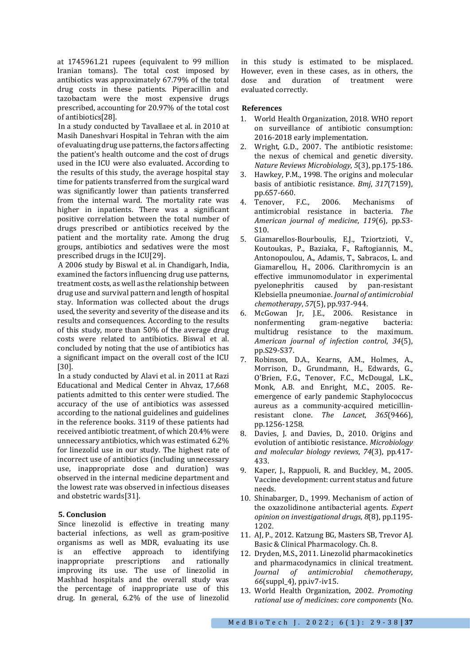at 1745961.21 rupees (equivalent to 99 million Iranian tomans). The total cost imposed by antibiotics was approximately 67.79% of the total drug costs in these patients. Piperacillin and tazobactam were the most expensive drugs prescribed, accounting for 20.97% of the total cost of antibiotics[28].

In a study conducted by Tavallaee et al. in 2010 at Masih Daneshvari Hospital in Tehran with the aim of evaluating drug use patterns, the factors affecting the patient's health outcome and the cost of drugs used in the ICU were also evaluated. According to the results of this study, the average hospital stay time for patients transferred from the surgical ward was significantly lower than patients transferred from the internal ward. The mortality rate was higher in inpatients. There was a significant positive correlation between the total number of drugs prescribed or antibiotics received by the patient and the mortality rate. Among the drug groups, antibiotics and sedatives were the most prescribed drugs in the ICU[29].

A 2006 study by Biswal et al. in Chandigarh, India, examined the factors influencing drug use patterns, treatment costs, as well as the relationship between drug use and survival pattern and length of hospital stay. Information was collected about the drugs used, the severity and severity of the disease and its results and consequences. According to the results of this study, more than 50% of the average drug costs were related to antibiotics. Biswal et al. concluded by noting that the use of antibiotics has a significant impact on the overall cost of the ICU [30].

In a study conducted by Alavi et al. in 2011 at Razi Educational and Medical Center in Ahvaz, 17,668 patients admitted to this center were studied. The accuracy of the use of antibiotics was assessed according to the national guidelines and guidelines in the reference books. 3119 of these patients had received antibiotic treatment, of which 20.4% were unnecessary antibiotics, which was estimated 6.2% for linezolid use in our study. The highest rate of incorrect use of antibiotics (including unnecessary use, inappropriate dose and duration) was observed in the internal medicine department and the lowest rate was observed in infectious diseases and obstetric wards[31].

## **5. Conclusion**

Since linezolid is effective in treating many bacterial infections, as well as gram-positive organisms as well as MDR, evaluating its use<br>is an effective approach to identifying is an effective approach to identifying<br>inappropriate prescriptions and rationally inappropriate prescriptions and rationally improving its use. The use of linezolid in Mashhad hospitals and the overall study was the percentage of inappropriate use of this drug. In general, 6.2% of the use of linezolid

in this study is estimated to be misplaced. However, even in these cases, as in others, the dose and duration of treatment were and duration evaluated correctly.

#### **References**

- 1. World Health Organization, 2018. WHO report on surveillance of antibiotic consumption: 2016-2018 early implementation.
- 2. Wright, G.D., 2007. The antibiotic resistome: the nexus of chemical and genetic diversity. *Nature Reviews Microbiology*, *5*(3), pp.175-186.
- 3. Hawkey, P.M., 1998. The origins and molecular basis of antibiotic resistance. *Bmj*, *317*(7159),
- pp.657-660.<br>Tenover, F.C., 4. Tenover, F.C., 2006. Mechanisms of antimicrobial resistance in bacteria. *The American journal of medicine*, *119*(6), pp.S3- S10.
- 5. Giamarellos-Bourboulis, E.J., Tziortzioti, V., Koutoukas, P., Baziaka, F., Raftogiannis, M., Antonopoulou, A., Adamis, T., Sabracos, L. and Giamarellou, H., 2006. Clarithromycin is an effective immunomodulator in experimental<br>pyelonephritis caused by pan-resistant pyelonephritis Klebsiella pneumoniae. *Journal of antimicrobial chemotherapy*, *57*(5), pp.937-944.
- 6. McGowan Jr, J.E., 2006. Resistance in nonfermenting gram-negative bacteria:<br>multidrug resistance to the maximum. multidrug resistance to the *American journal of infection control*, *34*(5), pp.S29-S37.
- 7. Robinson, D.A., Kearns, A.M., Holmes, A., Morrison, D., Grundmann, H., Edwards, G., O'Brien, F.G., Tenover, F.C., McDougal, L.K., Monk, A.B. and Enright, M.C., 2005. Reemergence of early pandemic Staphylococcus aureus as a community-acquired meticillinresistant clone. *The Lancet*, *365*(9466), pp.1256-1258.
- 8. Davies, J. and Davies, D., 2010. Origins and evolution of antibiotic resistance. *Microbiology and molecular biology reviews*, *74*(3), pp.417- 433.
- 9. Kaper, J., Rappuoli, R. and Buckley, M., 2005. Vaccine development: current status and future needs.
- 10. Shinabarger, D., 1999. Mechanism of action of the oxazolidinone antibacterial agents. *Expert opinion on investigational drugs*, *8*(8), pp.1195- 1202.
- 11. AJ, P., 2012. Katzung BG, Masters SB, Trevor AJ. Basic & Clinical Pharmacology. Ch. 8.
- 12. Dryden, M.S., 2011. Linezolid pharmacokinetics and pharmacodynamics in clinical treatment.<br>
Journal of antimicrobial chemotherapy, *Journal of antimicrobial chemotherapy*, *66*(suppl\_4), pp.iv7-iv15.
- 13. World Health Organization, 2002. *Promoting rational use of medicines: core components* (No.